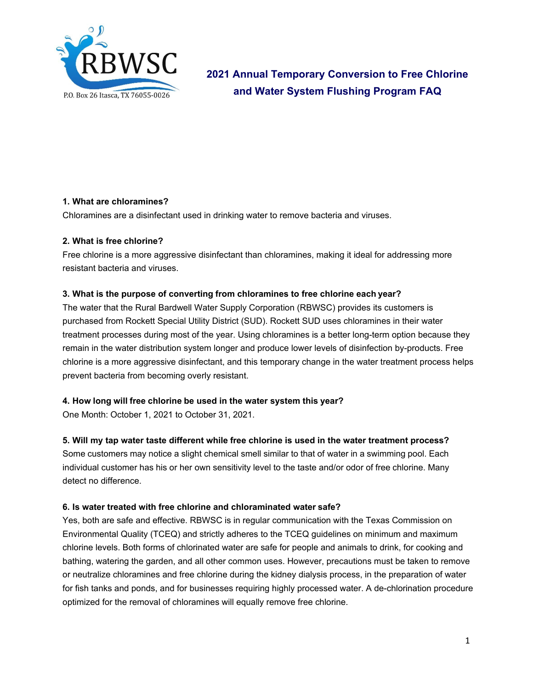

**2021 Annual Temporary Conversion to Free Chlorine and Water System Flushing Program FAQ**

### **1. What are chloramines?**

Chloramines are a disinfectant used in drinking water to remove bacteria and viruses.

### **2. What is free chlorine?**

Free chlorine is a more aggressive disinfectant than chloramines, making it ideal for addressing more resistant bacteria and viruses.

## **3. What is the purpose of converting from chloramines to free chlorine each year?**

The water that the Rural Bardwell Water Supply Corporation (RBWSC) provides its customers is purchased from Rockett Special Utility District (SUD). Rockett SUD uses chloramines in their water treatment processes during most of the year. Using chloramines is a better long-term option because they remain in the water distribution system longer and produce lower levels of disinfection by-products. Free chlorine is a more aggressive disinfectant, and this temporary change in the water treatment process helps prevent bacteria from becoming overly resistant.

### **4. How long will free chlorine be used in the water system this year?**

One Month: October 1, 2021 to October 31, 2021.

### **5. Will my tap water taste different while free chlorine is used in the water treatment process?**

Some customers may notice a slight chemical smell similar to that of water in a swimming pool. Each individual customer has his or her own sensitivity level to the taste and/or odor of free chlorine. Many detect no difference.

### **6. Is water treated with free chlorine and chloraminated water safe?**

Yes, both are safe and effective. RBWSC is in regular communication with the Texas Commission on Environmental Quality (TCEQ) and strictly adheres to the TCEQ guidelines on minimum and maximum chlorine levels. Both forms of chlorinated water are safe for people and animals to drink, for cooking and bathing, watering the garden, and all other common uses. However, precautions must be taken to remove or neutralize chloramines and free chlorine during the kidney dialysis process, in the preparation of water for fish tanks and ponds, and for businesses requiring highly processed water. A de-chlorination procedure optimized for the removal of chloramines will equally remove free chlorine.